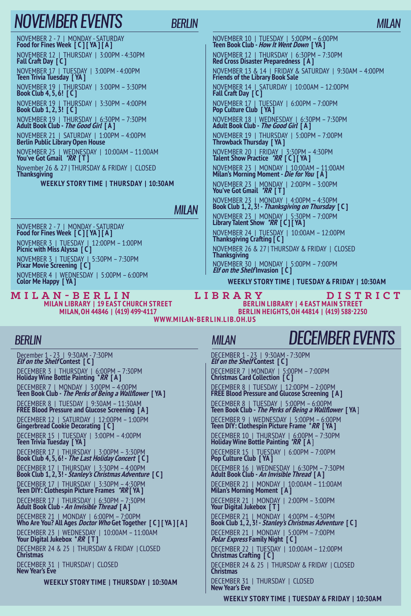# *NOVEMBER events*

*Berlin*

NOVEMBER 2 - 7 | MONDAY - SATURDAY **Food for Fines Week [ C ] [ YA ] [ A ]** NOVEMBER 12 | THURSDAY | 3:00PM - 4:30PM **Fall Craft Day [ C ]** NOVEMBER 17 | TUESDAY | 3:00PM - 4:00PM **Teen Trivia Tuesday [ YA ]** NOVEMBER 19 | THURSDAY | 3:00PM – 3:30PM **Book Club 4, 5, 6! [ C ]** NOVEMBER 19 | THURSDAY | 3:30PM – 4:00PM **Book Club 1, 2, 3! [ C ]** NOVEMBER 19 | THURSDAY | 6:30PM – 7:30PM **Adult Book Club - The Good Girl [ A ]** NOVEMBER 21 | SATURDAY | 1:00PM – 4:00PM **Berlin Public Library Open House** NOVEMBER 25 | WEDNESDAY | 10:00AM – 11:00AM **You've Got Gmail \*RR [ T ]** November 26 & 27 | THURSDAY & FRIDAY | CLOSED **Thanksgiving Weekly Story Time | THURSDAY | 10:30AM**

#### *milan*

NOVEMBER 2 - 7 | MONDAY - SATURDAY **Food for Fines Week [ C ] [ YA ] [ A ]** NOVEMBER 3 | TUESDAY | 12:00PM – 1:00PM **Picnic with Miss Alyssa [ C ]** NOVEMBER 3 | TUESDAY | 5:30PM – 7:30PM **Pixar Movie Screening [ C ]** NOVEMBER 4 | WEDNESDAY | 5:00PM – 6:00PM **Color Me Happy [ YA ]**

**Milan Library | 19 East Church Street Milan, OH 44846 | (419) 499-4117 M i l a n - B e r l i n L i b r a r y D i s t r i c t**

### NOVEMBER 10 | TUESDAY | 5:00PM – 6:00PM **Teen Book Club - How It Went Down [ YA ]** NOVEMBER 12 | THURSDAY | 6:30PM – 7:30PM **Red Cross Disaster Preparedness [ A ]** NOVEMBER 13 & 14 | FRIDAY & SATURDAY | 9:30AM – 4:00PM **Friends of the Library Book Sale** NOVEMBER 14 | SATURDAY | 10:00AM – 12:00PM **Fall Craft Day [ C ]** NOVEMBER 17 | TUESDAY | 6:00PM – 7:00PM **Pop Culture Club [ YA ]** NOVEMBER 18 | WEDNESDAY | 6:30PM – 7:30PM **Adult Book Club - The Good Girl [ A ]** NOVEMBER 19 | THURSDAY | 5:00PM – 7:00PM **Throwback Thursday [ YA ]** NOVEMBER 20 | FRIDAY | 3:30PM – 4:30PM **Talent Show Practice \*RR [ C ] [ YA ]** NOVEMBER 23 | MONDAY | 10:00AM – 11:00AM **Milan's Morning Moment - Die for You [ A ]** NOVEMBER 23 | MONDAY | 2:00PM – 3:00PM **You've Got Gmail \*RR [ T ]** NOVEMBER 23 | MONDAY | 4:00PM – 4:30PM **Book Club 1, 2, 3! - Thanksgiving on Thursday [ C ]**

NOVEMBER 23 | MONDAY | 5:30PM – 7:00PM **Library Talent Show \*RR [ C ] [ YA ]** NOVEMBER 24 | TUESDAY | 10:00AM – 12:00PM **Thanksgiving Crafting [ C ]** NOVEMBER 26 & 27 | THURSDAY & FRIDAY | CLOSED **Thanksgiving** NOVEMBER 30 | MONDAY | 5:00PM – 7:00PM **Elf on the Shelf Invasion [ C ]**

**Weekly Story Time | TUESDAY & FRIDAY | 10:30AM**

**Berlin Library | 4 East Main Street Berlin Heights, OH 44814 | (419) 588-2250**

**www.mi la n-ber l i n.l i b.oh.u s**

#### *Berlin*

December 1 - 23 | 9:30AM - 7:30PM **Elf on the Shelf Contest [ C ]** DECEMBER 3 | THURSDAY | 6:00PM – 7:30PM **Holiday Wine Bottle Painting \*RR [ A ]** DECEMBER 7 | MONDAY | 3:00PM – 4:00PM **Teen Book Club - The Perks of Being a Wallflower [ YA ]** DECEMBER 8 | TUESDAY | 9:30AM – 11:30AM **FREE Blood Pressure and Glucose Screening [ A ]** DECEMBER 12 | SATURDAY | 12:00PM – 1:00PM **Gingerbread Cookie Decorating [ C ]** DECEMBER 15 | TUESDAY | 3:00PM – 4:00PM **Teen Trivia Tuesday [ YA ]** DECEMBER 17 | THURSDAY | 3:00PM – 3:30PM **Book Club 4, 5, 6! - The Last Holiday Concert [ C ]** DECEMBER 17 | THURSDAY | 3:30PM – 4:00PM **Book Club 1, 2, 3! - Stanley's Christmas Adventure [ C ]** DECEMBER 17 | THURSDAY | 3:30PM – 4:30PM **Teen DIY: Clothespin Picture Frames \*RR [ YA ]** DECEMBER 17 | THURSDAY | 6:30PM – 7:30PM **Adult Book Club - An Invisible Thread [ A ]** DECEMBER 21 | MONDAY | 6:00PM – 7:00PM **Who Are You? All Ages Doctor Who Get Together [ C ] [ YA ] [ A ]** DECEMBER 23 | WEDNESDAY | 10:00AM – 11:00AM **Your Digital Jukebox \*RR [ T ]** DECEMBER 24 & 25 | THURSDAY & FRIDAY | CLOSED **Christmas** DECEMBER 31 | THURSDAY | CLOSED **New Year's Eve**

**Weekly Story Time | THURSDAY | 10:30AM**

### *milan*

# *DECEMBER events*

DECEMBER 1 - 23 | 9:30AM - 7:30PM **Elf on the Shelf Contest [ C ]** DECEMBER 7 | MONDAY | 5:00PM – 7:00PM **Christmas Card Collection [ C ]** DECEMBER 8 | TUESDAY | 12:00PM – 2:00PM **FREE Blood Pressure and Glucose Screening [ A ]** DECEMBER 8 | TUESDAY | 5:00PM – 6:00PM **Teen Book Club - The Perks of Being a Wallflower [ YA** ] DECEMBER 9 | WEDNESDAY | 5:00PM – 6:00PM **Teen DIY: Clothespin Picture Frame \*RR [ YA ]** DECEMBER 10 | THURSDAY | 6:00PM – 7:30PM **Holiday Wine Bottle Painting \*RR [ A** ] DECEMBER 15 | TUESDAY | 6:00PM – 7:00PM **Pop Culture Club [ YA ]** DECEMBER 16 | WEDNESDAY | 6:30PM – 7:30PM **Adult Book Club - An Invisible Thread [ A ]** DECEMBER 21 | MONDAY | 10:00AM – 11:00AM **Milan's Morning Moment [ A ]** DECEMBER 21 | MONDAY | 2:00PM – 3:00PM **Your Digital Jukebox [ T ]** DECEMBER 21 | MONDAY | 4:00PM – 4:30PM **Book Club 1, 2, 3! - Stanley's Christmas Adventure [ C ]** DECEMBER 21 | MONDAY | 5:00PM – 7:00PM **Polar Express Family Night [ C ]** DECEMBER 22 | TUESDAY | 10:00AM – 12:00PM **Christmas Crafting [ C ]** DECEMBER 24 & 25 | THURSDAY & FRIDAY | CLOSED **Christmas** DECEMBER 31 | THURSDAY | CLOSED **New Year's Eve**

**Weekly Story Time | TUESDAY & FRIDAY | 10:30AM**